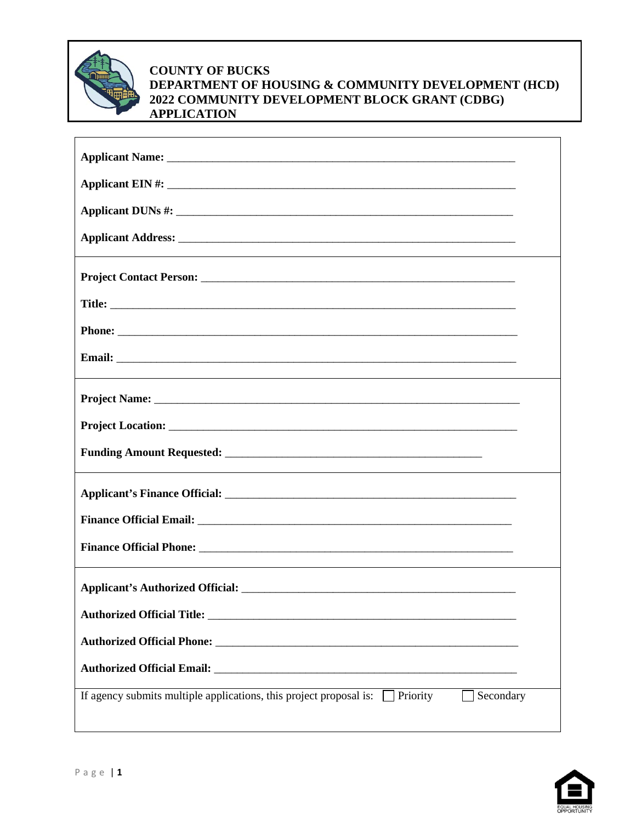

## **COUNTY OF BUCKS DEPARTMENT OF HOUSING & COMMUNITY DEVELOPMENT (HCD) 2022 COMMUNITY DEVELOPMENT BLOCK GRANT (CDBG) APPLICATION**

| If agency submits multiple applications, this project proposal is: $\Box$ Priority<br>Secondary |  |
|-------------------------------------------------------------------------------------------------|--|

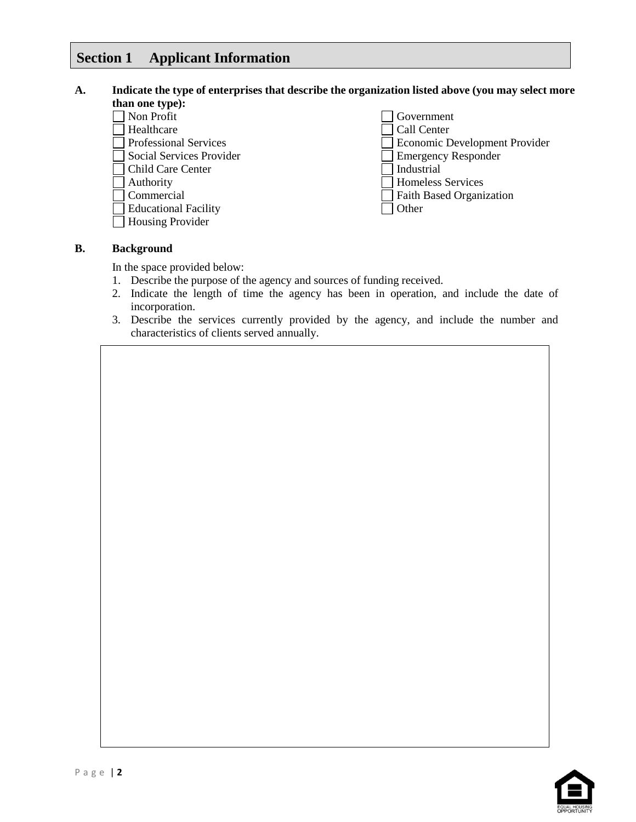## **Section 1 Applicant Information**

#### **A. Indicate the type of enterprises that describe the organization listed above (you may select more than one type):**

| $\frac{1}{2}$               |                                 |
|-----------------------------|---------------------------------|
| Non Profit                  | Government                      |
| Healthcare                  | Call Center                     |
| Professional Services       | Economic Development Provider   |
| Social Services Provider    | <b>Emergency Responder</b>      |
| Child Care Center           | Industrial                      |
| Authority                   | <b>Homeless Services</b>        |
| Commercial                  | <b>Faith Based Organization</b> |
| <b>Educational Facility</b> | Other                           |
| <b>Housing Provider</b>     |                                 |

#### **B. Background**

In the space provided below:

- 1. Describe the purpose of the agency and sources of funding received.
- 2. Indicate the length of time the agency has been in operation, and include the date of incorporation.
- 3. Describe the services currently provided by the agency, and include the number and characteristics of clients served annually.

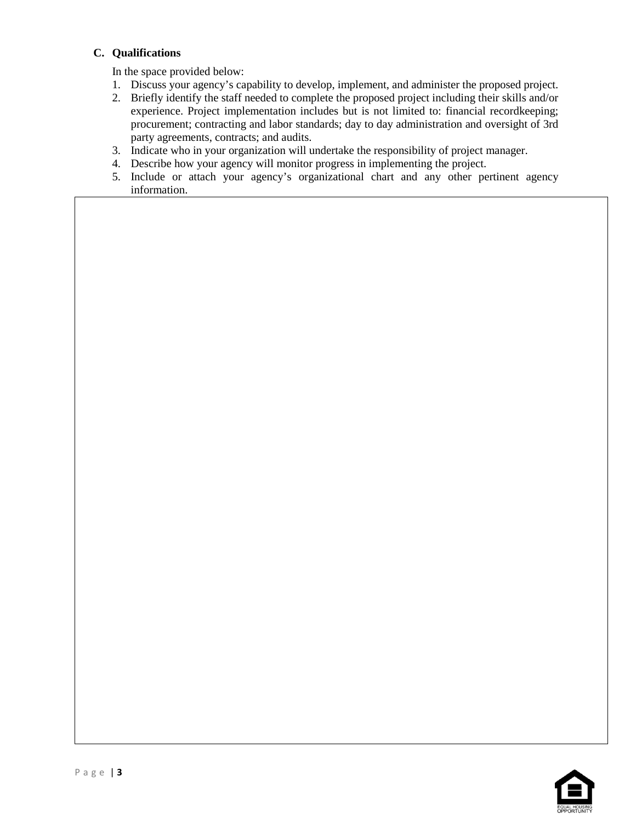#### **C. Qualifications**

In the space provided below:

- 1. Discuss your agency's capability to develop, implement, and administer the proposed project.
- 2. Briefly identify the staff needed to complete the proposed project including their skills and/or experience. Project implementation includes but is not limited to: financial recordkeeping; procurement; contracting and labor standards; day to day administration and oversight of 3rd party agreements, contracts; and audits.
- 3. Indicate who in your organization will undertake the responsibility of project manager.
- 4. Describe how your agency will monitor progress in implementing the project.
- 5. Include or attach your agency's organizational chart and any other pertinent agency information.

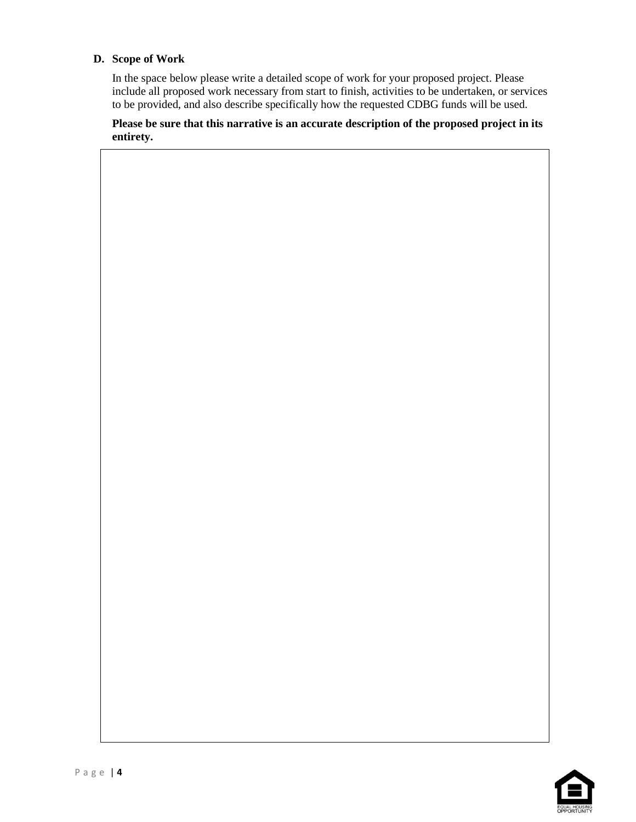### **D. Scope of Work**

In the space below please write a detailed scope of work for your proposed project. Please include all proposed work necessary from start to finish, activities to be undertaken, or services to be provided, and also describe specifically how the requested CDBG funds will be used.

**Please be sure that this narrative is an accurate description of the proposed project in its entirety.**

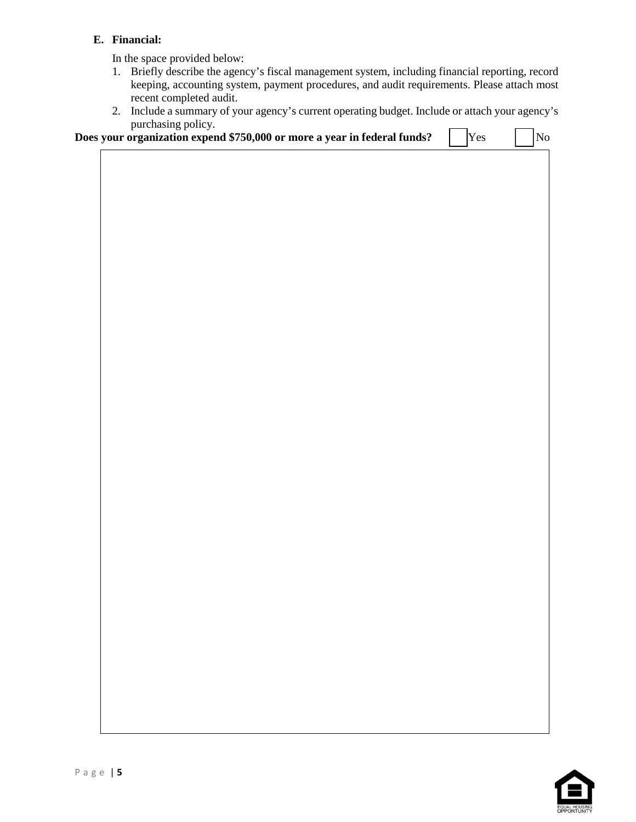## **E. Financial:**

In the space provided below:

- 1. Briefly describe the agency's fiscal management system, including financial reporting, record keeping, accounting system, payment procedures, and audit requirements. Please attach most recent completed audit.
- 2. Include a summary of your agency's current operating budget. Include or attach your agency's purchasing policy.

|  |  | Does your organization expend \$750,000 or more a year in federal funds? |  | Yes | $\begin{array}{c c} & \text{No} \end{array}$ |
|--|--|--------------------------------------------------------------------------|--|-----|----------------------------------------------|
|  |  |                                                                          |  |     |                                              |

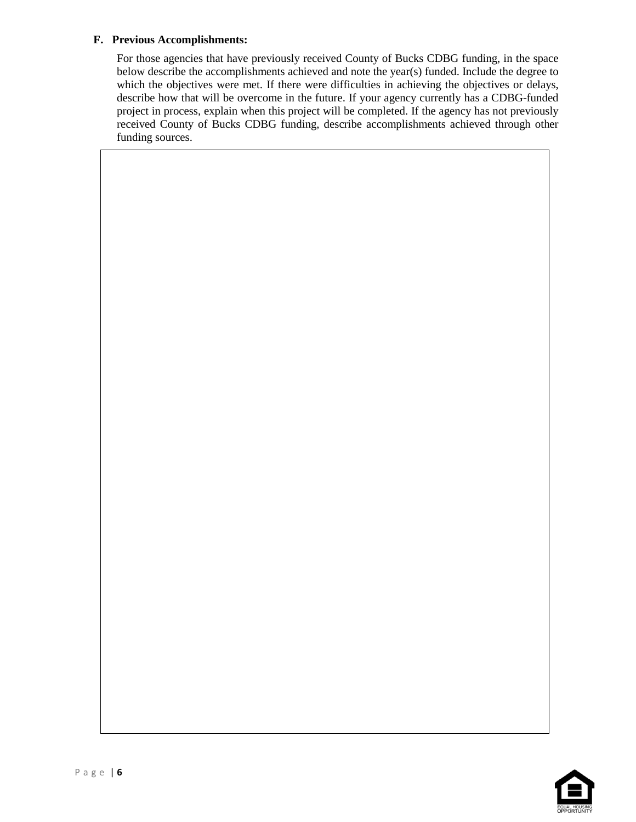#### **F. Previous Accomplishments:**

For those agencies that have previously received County of Bucks CDBG funding, in the space below describe the accomplishments achieved and note the year(s) funded. Include the degree to which the objectives were met. If there were difficulties in achieving the objectives or delays, describe how that will be overcome in the future. If your agency currently has a CDBG-funded project in process, explain when this project will be completed. If the agency has not previously received County of Bucks CDBG funding, describe accomplishments achieved through other funding sources.

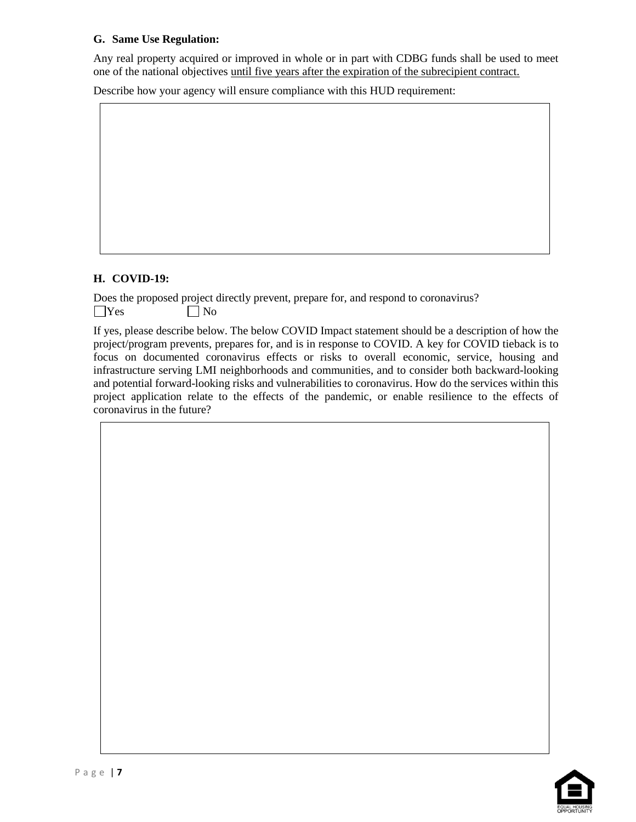## **G. Same Use Regulation:**

Any real property acquired or improved in whole or in part with CDBG funds shall be used to meet one of the national objectives until five years after the expiration of the subrecipient contract.

Describe how your agency will ensure compliance with this HUD requirement:

#### **H. COVID-19:**

Does the proposed project directly prevent, prepare for, and respond to coronavirus?  $\bigcap$ Yes  $\bigcap$  No

If yes, please describe below. The below COVID Impact statement should be a description of how the project/program prevents, prepares for, and is in response to COVID. A key for COVID tieback is to focus on documented coronavirus effects or risks to overall economic, service, housing and infrastructure serving LMI neighborhoods and communities, and to consider both backward-looking and potential forward-looking risks and vulnerabilities to coronavirus. How do the services within this project application relate to the effects of the pandemic, or enable resilience to the effects of coronavirus in the future?

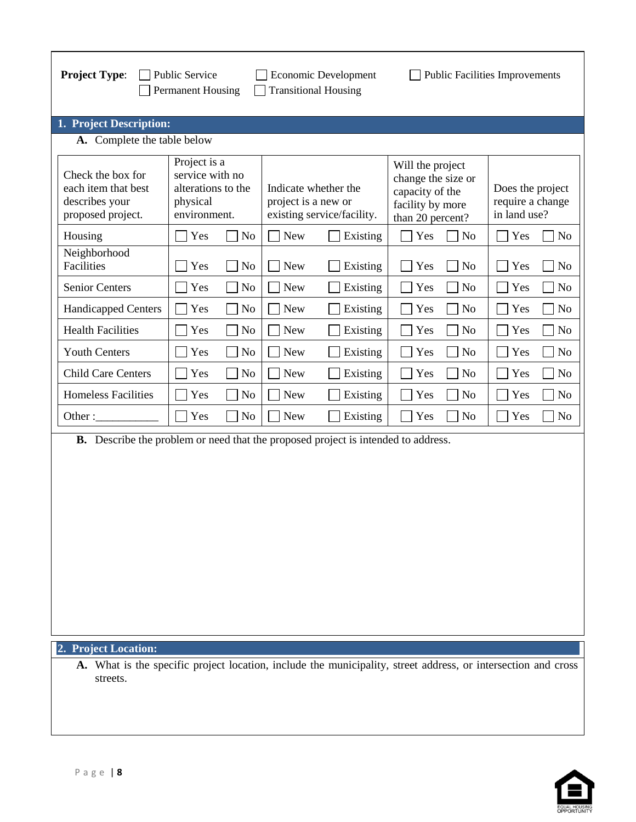| <b>Project Type:</b>                                                                     | <b>Public Service</b><br><b>Permanent Housing</b>                                 | Economic Development<br><b>Transitional Housing</b>                                                           |                                                                                                   | <b>Public Facilities Improvements</b>                |
|------------------------------------------------------------------------------------------|-----------------------------------------------------------------------------------|---------------------------------------------------------------------------------------------------------------|---------------------------------------------------------------------------------------------------|------------------------------------------------------|
| 1. Project Description:                                                                  |                                                                                   |                                                                                                               |                                                                                                   |                                                      |
| A. Complete the table below                                                              |                                                                                   |                                                                                                               |                                                                                                   |                                                      |
| Check the box for<br>each item that best<br>describes your<br>proposed project.          | Project is a<br>service with no<br>alterations to the<br>physical<br>environment. | Indicate whether the<br>project is a new or<br>existing service/facility.                                     | Will the project<br>change the size or<br>capacity of the<br>facility by more<br>than 20 percent? | Does the project<br>require a change<br>in land use? |
| Housing                                                                                  | Yes                                                                               | <b>New</b>                                                                                                    | Yes                                                                                               | Yes                                                  |
|                                                                                          | N <sub>o</sub>                                                                    | Existing                                                                                                      | N <sub>o</sub>                                                                                    | N <sub>o</sub>                                       |
| Neighborhood                                                                             | Yes                                                                               | <b>New</b>                                                                                                    | Yes                                                                                               | Yes                                                  |
| Facilities                                                                               | N <sub>o</sub>                                                                    | Existing                                                                                                      | N <sub>o</sub>                                                                                    | N <sub>o</sub>                                       |
| <b>Senior Centers</b>                                                                    | Yes                                                                               | <b>New</b>                                                                                                    | No                                                                                                | Yes                                                  |
|                                                                                          | No                                                                                | Existing                                                                                                      | Yes                                                                                               | N <sub>o</sub>                                       |
| <b>Handicapped Centers</b>                                                               | Yes                                                                               | <b>New</b>                                                                                                    | Yes                                                                                               | Yes                                                  |
|                                                                                          | No                                                                                | Existing                                                                                                      | N <sub>o</sub>                                                                                    | N <sub>o</sub>                                       |
| <b>Health Facilities</b>                                                                 | Yes                                                                               | <b>New</b>                                                                                                    | N <sub>o</sub>                                                                                    | Yes                                                  |
|                                                                                          | N <sub>0</sub>                                                                    | Existing                                                                                                      | Yes                                                                                               | N <sub>o</sub>                                       |
| <b>Youth Centers</b>                                                                     | N <sub>o</sub>                                                                    | <b>New</b>                                                                                                    | Yes                                                                                               | Yes                                                  |
|                                                                                          | Yes                                                                               | Existing                                                                                                      | N <sub>0</sub>                                                                                    | N <sub>o</sub>                                       |
| <b>Child Care Centers</b>                                                                | No                                                                                | <b>New</b>                                                                                                    | $\rm No$                                                                                          | Yes                                                  |
|                                                                                          | Yes                                                                               | Existing                                                                                                      | Yes                                                                                               | N <sub>o</sub>                                       |
| <b>Homeless Facilities</b>                                                               | Yes                                                                               | <b>New</b>                                                                                                    | Yes                                                                                               | Yes                                                  |
|                                                                                          | No                                                                                | Existing                                                                                                      | N <sub>0</sub>                                                                                    | N <sub>o</sub>                                       |
| Other:                                                                                   | Yes                                                                               | <b>New</b>                                                                                                    | Yes                                                                                               | Yes                                                  |
|                                                                                          | N <sub>o</sub>                                                                    | Existing                                                                                                      | N <sub>o</sub>                                                                                    | N <sub>o</sub>                                       |
| <b>B.</b> Describe the problem or need that the proposed project is intended to address. |                                                                                   |                                                                                                               |                                                                                                   |                                                      |
| 2. Project Location:                                                                     |                                                                                   |                                                                                                               |                                                                                                   |                                                      |
| streets.                                                                                 |                                                                                   | A. What is the specific project location, include the municipality, street address, or intersection and cross |                                                                                                   |                                                      |

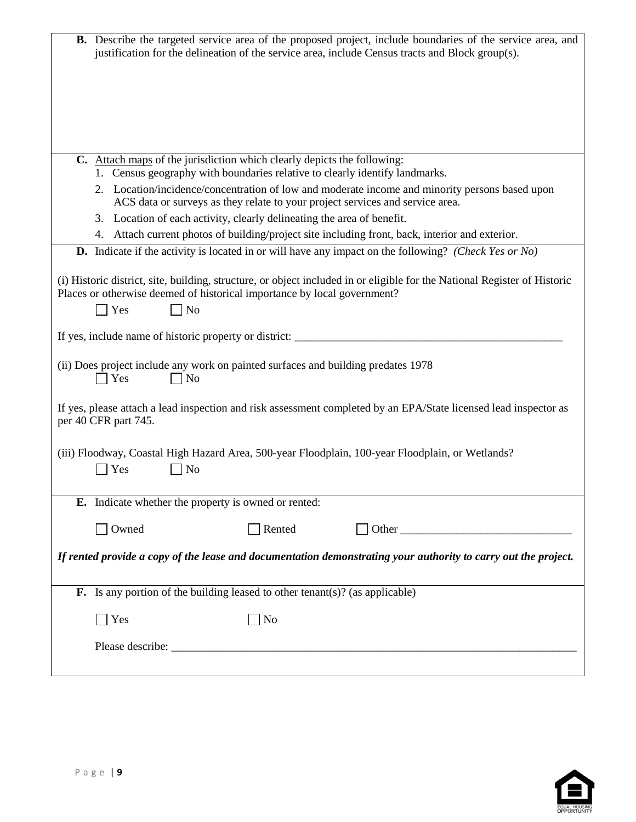|                                                                                                                      |                                                                        | B. Describe the targeted service area of the proposed project, include boundaries of the service area, and<br>justification for the delineation of the service area, include Census tracts and Block group(s). |
|----------------------------------------------------------------------------------------------------------------------|------------------------------------------------------------------------|----------------------------------------------------------------------------------------------------------------------------------------------------------------------------------------------------------------|
|                                                                                                                      |                                                                        |                                                                                                                                                                                                                |
|                                                                                                                      |                                                                        |                                                                                                                                                                                                                |
| C. Attach maps of the jurisdiction which clearly depicts the following:                                              |                                                                        | 1. Census geography with boundaries relative to clearly identify landmarks.                                                                                                                                    |
|                                                                                                                      |                                                                        | 2. Location/incidence/concentration of low and moderate income and minority persons based upon<br>ACS data or surveys as they relate to your project services and service area.                                |
|                                                                                                                      | 3. Location of each activity, clearly delineating the area of benefit. |                                                                                                                                                                                                                |
|                                                                                                                      |                                                                        | 4. Attach current photos of building/project site including front, back, interior and exterior.                                                                                                                |
|                                                                                                                      |                                                                        | <b>D.</b> Indicate if the activity is located in or will have any impact on the following? (Check Yes or No)                                                                                                   |
| Places or otherwise deemed of historical importance by local government?<br>Yes<br>N <sub>o</sub>                    |                                                                        | (i) Historic district, site, building, structure, or object included in or eligible for the National Register of Historic                                                                                      |
| If yes, include name of historic property or district: __________________________                                    |                                                                        |                                                                                                                                                                                                                |
| (ii) Does project include any work on painted surfaces and building predates 1978<br>$\blacksquare$ Yes<br>$\Box$ No |                                                                        |                                                                                                                                                                                                                |
| per 40 CFR part 745.                                                                                                 |                                                                        | If yes, please attach a lead inspection and risk assessment completed by an EPA/State licensed lead inspector as                                                                                               |
| Yes<br>No                                                                                                            |                                                                        | (iii) Floodway, Coastal High Hazard Area, 500-year Floodplain, 100-year Floodplain, or Wetlands?                                                                                                               |
| E. Indicate whether the property is owned or rented:                                                                 |                                                                        |                                                                                                                                                                                                                |
| Owned                                                                                                                | Rented                                                                 |                                                                                                                                                                                                                |
|                                                                                                                      |                                                                        | If rented provide a copy of the lease and documentation demonstrating your authority to carry out the project.                                                                                                 |
| <b>F.</b> Is any portion of the building leased to other tenant(s)? (as applicable)                                  |                                                                        |                                                                                                                                                                                                                |
| $\blacksquare$ Yes                                                                                                   | N <sub>o</sub>                                                         |                                                                                                                                                                                                                |
|                                                                                                                      |                                                                        |                                                                                                                                                                                                                |
|                                                                                                                      |                                                                        |                                                                                                                                                                                                                |

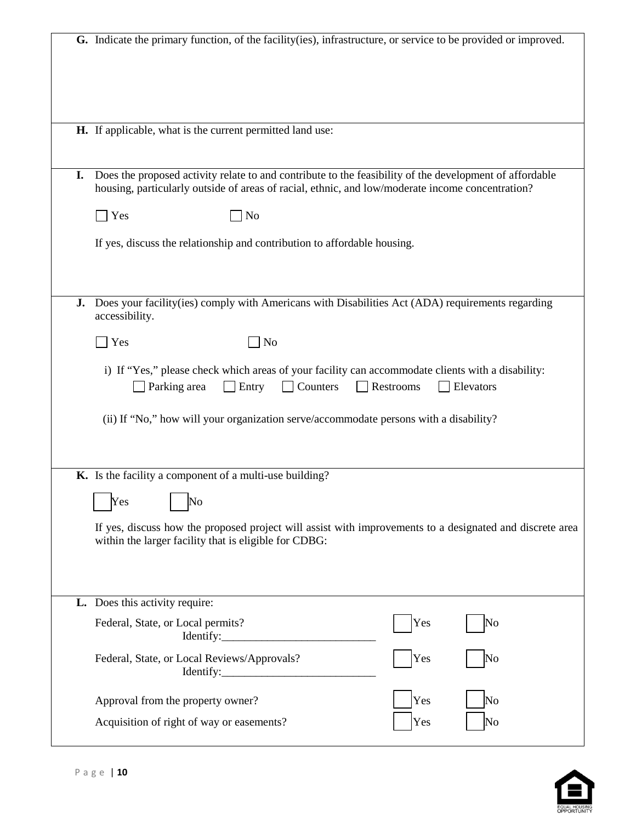|    | G. Indicate the primary function, of the facility (ies), infrastructure, or service to be provided or improved.                                                                                             |
|----|-------------------------------------------------------------------------------------------------------------------------------------------------------------------------------------------------------------|
|    | H. If applicable, what is the current permitted land use:                                                                                                                                                   |
|    |                                                                                                                                                                                                             |
| I. | Does the proposed activity relate to and contribute to the feasibility of the development of affordable<br>housing, particularly outside of areas of racial, ethnic, and low/moderate income concentration? |
|    | $\bigcap$ Yes<br>N <sub>o</sub>                                                                                                                                                                             |
|    | If yes, discuss the relationship and contribution to affordable housing.                                                                                                                                    |
|    | J. Does your facility(ies) comply with Americans with Disabilities Act (ADA) requirements regarding                                                                                                         |
|    | accessibility.                                                                                                                                                                                              |
|    | Yes<br>No                                                                                                                                                                                                   |
|    | i) If "Yes," please check which areas of your facility can accommodate clients with a disability:<br>Counters<br>Restrooms<br>Parking area<br>Entry<br>Elevators                                            |
|    | (ii) If "No," how will your organization serve/accommodate persons with a disability?                                                                                                                       |
|    | K. Is the facility a component of a multi-use building?                                                                                                                                                     |
|    | $\overline{\text{No}}$<br>Yes                                                                                                                                                                               |
|    |                                                                                                                                                                                                             |
|    | If yes, discuss how the proposed project will assist with improvements to a designated and discrete area                                                                                                    |
|    | within the larger facility that is eligible for CDBG:                                                                                                                                                       |
|    | L. Does this activity require:                                                                                                                                                                              |
|    | Yes<br>Federal, State, or Local permits?<br>No<br>Identify:                                                                                                                                                 |
|    | Federal, State, or Local Reviews/Approvals?<br>Yes<br>No                                                                                                                                                    |
|    | Yes<br>Approval from the property owner?<br>No                                                                                                                                                              |

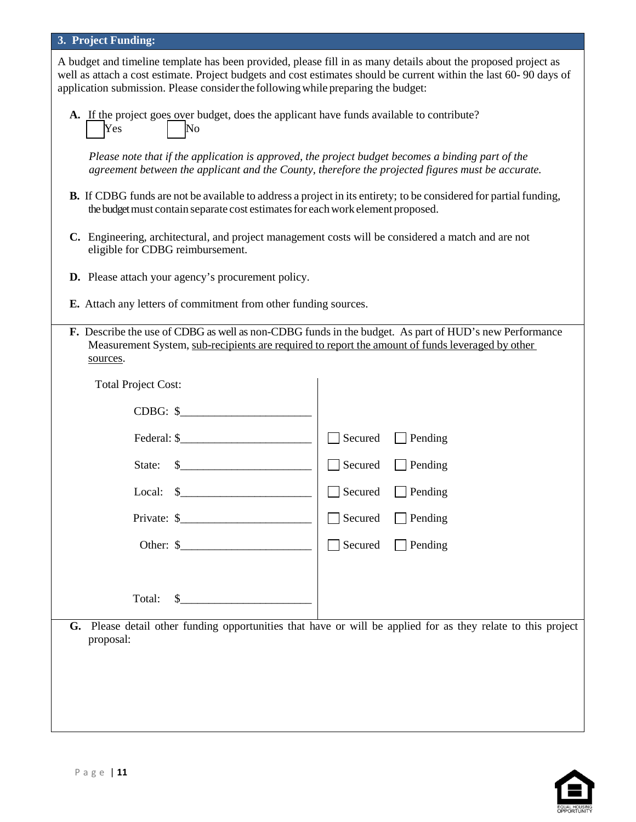#### **3. Project Funding:**

A budget and timeline template has been provided, please fill in as many details about the proposed project as well as attach a cost estimate. Project budgets and cost estimates should be current within the last 60- 90 days of application submission. Please considerthe followingwhile preparing the budget:

**A.** If the project goes over budget, does the applicant have funds available to contribute? Yes No

*Please note that if the application is approved, the project budget becomes a binding part of the agreement between the applicant and the County, therefore the projected figures must be accurate.*

- **B.** If CDBG funds are not be available to address a project in its entirety; to be considered for partial funding, the budget must contain separate cost estimates for each work element proposed.
- **C.** Engineering, architectural, and project management costs will be considered a match and are not eligible for CDBG reimbursement.
- **D.** Please attach your agency's procurement policy.
- **E.** Attach any letters of commitment from other funding sources.
- **F.** Describe the use of CDBG as well as non-CDBG funds in the budget. As part of HUD's new Performance Measurement System, sub-recipients are required to report the amount of funds leveraged by other sources.

| <b>Total Project Cost:</b>                    |                                                                                                              |
|-----------------------------------------------|--------------------------------------------------------------------------------------------------------------|
| $CDBG:$ \$                                    |                                                                                                              |
| Federal: $\frac{1}{2}$                        | Secured<br>$\Box$ Pending<br>$\sim$                                                                          |
| State: $\frac{1}{2}$                          | Secured<br>$\Box$ Pending<br>$\overline{\phantom{a}}$                                                        |
| Local: $\frac{1}{2}$                          | $\Box$ Pending<br>Secured<br>$\sim$                                                                          |
| Private: $\frac{1}{2}$ Private: $\frac{1}{2}$ | $\Box$ Pending<br>Secured<br>$\sim$                                                                          |
|                                               | Secured<br>$\Box$ Pending<br>$\Box$                                                                          |
|                                               |                                                                                                              |
| $\sim$<br>Total:                              |                                                                                                              |
| proposal:                                     | G. Please detail other funding opportunities that have or will be applied for as they relate to this project |
|                                               |                                                                                                              |
|                                               |                                                                                                              |
|                                               |                                                                                                              |
|                                               |                                                                                                              |

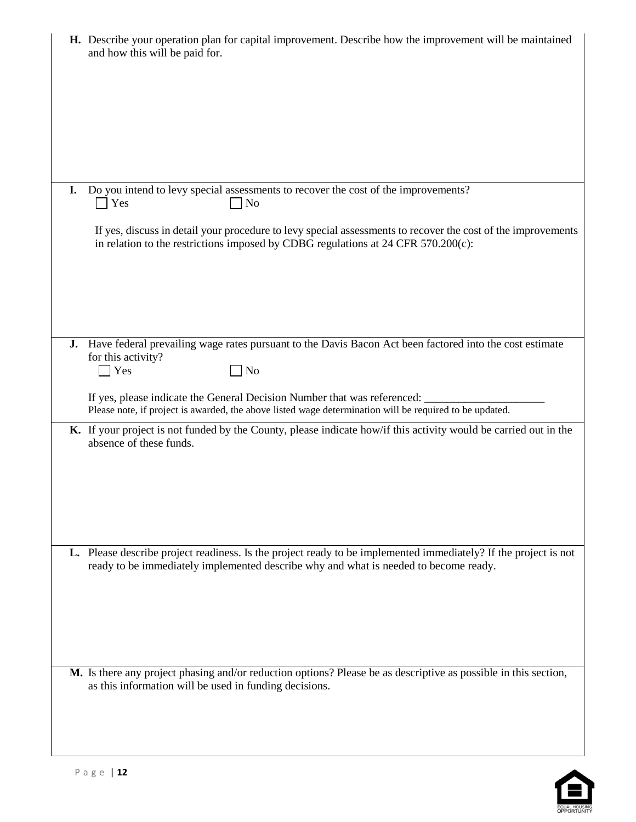| H. Describe your operation plan for capital improvement. Describe how the improvement will be maintained<br>and how this will be paid for.                                                              |
|---------------------------------------------------------------------------------------------------------------------------------------------------------------------------------------------------------|
|                                                                                                                                                                                                         |
| Do you intend to levy special assessments to recover the cost of the improvements?<br>I.<br>$\bigcap$ Yes<br>N <sub>o</sub>                                                                             |
| If yes, discuss in detail your procedure to levy special assessments to recover the cost of the improvements<br>in relation to the restrictions imposed by CDBG regulations at 24 CFR 570.200(c):       |
|                                                                                                                                                                                                         |
| J. Have federal prevailing wage rates pursuant to the Davis Bacon Act been factored into the cost estimate<br>for this activity?<br>Yes<br>$\Box$ No                                                    |
| If yes, please indicate the General Decision Number that was referenced:<br>Please note, if project is awarded, the above listed wage determination will be required to be updated.                     |
| K. If your project is not funded by the County, please indicate how/if this activity would be carried out in the<br>absence of these funds.                                                             |
|                                                                                                                                                                                                         |
| L. Please describe project readiness. Is the project ready to be implemented immediately? If the project is not<br>ready to be immediately implemented describe why and what is needed to become ready. |
| M. Is there any project phasing and/or reduction options? Please be as descriptive as possible in this section,                                                                                         |
| as this information will be used in funding decisions.                                                                                                                                                  |

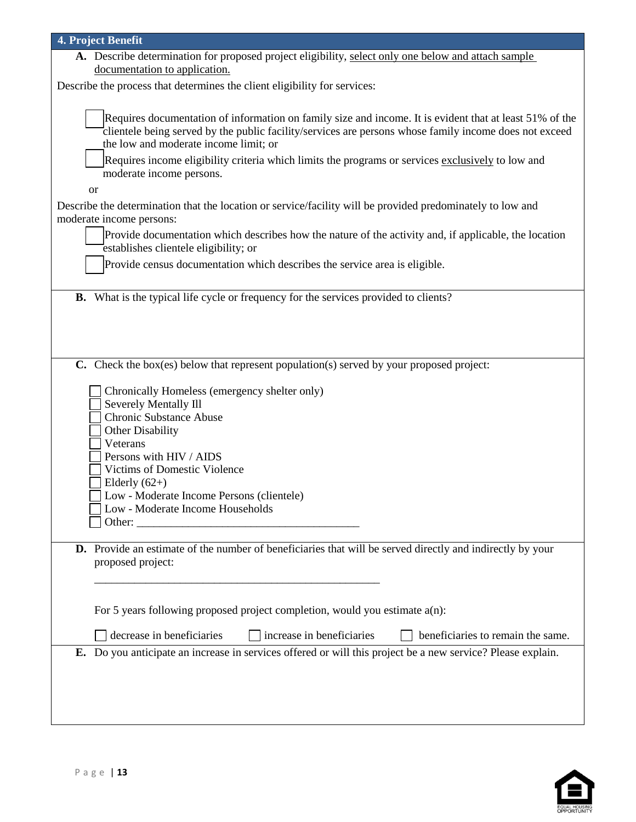| 4. Project Benefit                                                                                          |
|-------------------------------------------------------------------------------------------------------------|
| A. Describe determination for proposed project eligibility, select only one below and attach sample         |
| documentation to application.                                                                               |
| Describe the process that determines the client eligibility for services:                                   |
|                                                                                                             |
| Requires documentation of information on family size and income. It is evident that at least 51% of the     |
| clientele being served by the public facility/services are persons whose family income does not exceed      |
| the low and moderate income limit; or                                                                       |
| Requires income eligibility criteria which limits the programs or services exclusively to low and           |
| moderate income persons.                                                                                    |
| <b>or</b>                                                                                                   |
| Describe the determination that the location or service/facility will be provided predominately to low and  |
| moderate income persons:                                                                                    |
| Provide documentation which describes how the nature of the activity and, if applicable, the location       |
| establishes clientele eligibility; or                                                                       |
| Provide census documentation which describes the service area is eligible.                                  |
|                                                                                                             |
| <b>B.</b> What is the typical life cycle or frequency for the services provided to clients?                 |
|                                                                                                             |
|                                                                                                             |
|                                                                                                             |
|                                                                                                             |
| C. Check the box(es) below that represent population(s) served by your proposed project:                    |
|                                                                                                             |
| Chronically Homeless (emergency shelter only)                                                               |
| Severely Mentally Ill                                                                                       |
| Chronic Substance Abuse<br><b>Other Disability</b>                                                          |
| Veterans                                                                                                    |
| Persons with HIV / AIDS                                                                                     |
| Victims of Domestic Violence                                                                                |
| Elderly $(62+)$                                                                                             |
| Low - Moderate Income Persons (clientele)                                                                   |
| Low - Moderate Income Households                                                                            |
| Other:                                                                                                      |
|                                                                                                             |
| D. Provide an estimate of the number of beneficiaries that will be served directly and indirectly by your   |
| proposed project:                                                                                           |
|                                                                                                             |
|                                                                                                             |
| For 5 years following proposed project completion, would you estimate $a(n)$ :                              |
|                                                                                                             |
| decrease in beneficiaries<br>increase in beneficiaries<br>beneficiaries to remain the same.                 |
| E. Do you anticipate an increase in services offered or will this project be a new service? Please explain. |
|                                                                                                             |
|                                                                                                             |
|                                                                                                             |
|                                                                                                             |

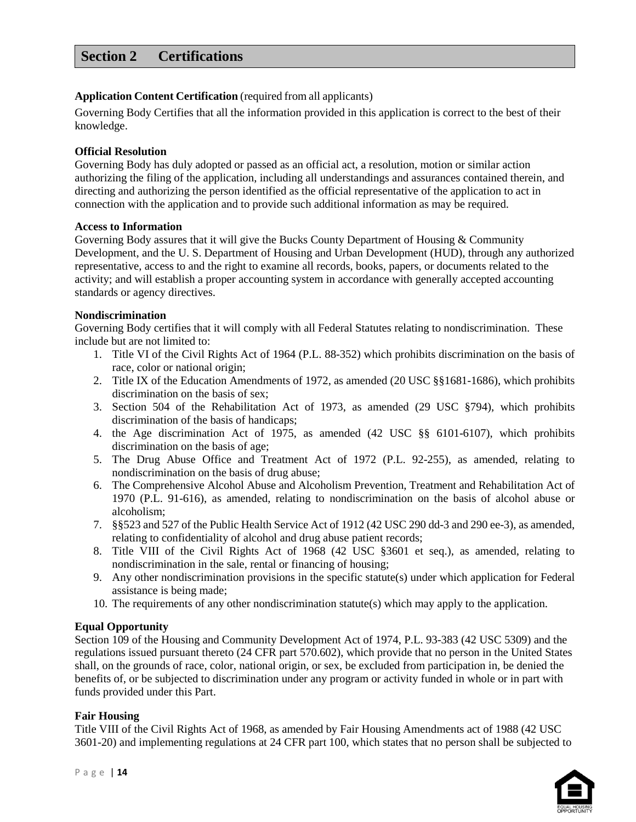# **Section 2 Certifications**

#### **Application Content Certification** (required from all applicants)

Governing Body Certifies that all the information provided in this application is correct to the best of their knowledge.

#### **Official Resolution**

Governing Body has duly adopted or passed as an official act, a resolution, motion or similar action authorizing the filing of the application, including all understandings and assurances contained therein, and directing and authorizing the person identified as the official representative of the application to act in connection with the application and to provide such additional information as may be required.

#### **Access to Information**

Governing Body assures that it will give the Bucks County Department of Housing & Community Development, and the U. S. Department of Housing and Urban Development (HUD), through any authorized representative, access to and the right to examine all records, books, papers, or documents related to the activity; and will establish a proper accounting system in accordance with generally accepted accounting standards or agency directives.

#### **Nondiscrimination**

Governing Body certifies that it will comply with all Federal Statutes relating to nondiscrimination. These include but are not limited to:

- 1. Title VI of the Civil Rights Act of 1964 (P.L. 88-352) which prohibits discrimination on the basis of race, color or national origin;
- 2. Title IX of the Education Amendments of 1972, as amended (20 USC §§1681-1686), which prohibits discrimination on the basis of sex;
- 3. Section 504 of the Rehabilitation Act of 1973, as amended (29 USC §794), which prohibits discrimination of the basis of handicaps;
- 4. the Age discrimination Act of 1975, as amended (42 USC §§ 6101-6107), which prohibits discrimination on the basis of age;
- 5. The Drug Abuse Office and Treatment Act of 1972 (P.L. 92-255), as amended, relating to nondiscrimination on the basis of drug abuse;
- 6. The Comprehensive Alcohol Abuse and Alcoholism Prevention, Treatment and Rehabilitation Act of 1970 (P.L. 91-616), as amended, relating to nondiscrimination on the basis of alcohol abuse or alcoholism;
- 7. §§523 and 527 of the Public Health Service Act of 1912 (42 USC 290 dd-3 and 290 ee-3), as amended, relating to confidentiality of alcohol and drug abuse patient records;
- 8. Title VIII of the Civil Rights Act of 1968 (42 USC §3601 et seq.), as amended, relating to nondiscrimination in the sale, rental or financing of housing;
- 9. Any other nondiscrimination provisions in the specific statute(s) under which application for Federal assistance is being made;
- 10. The requirements of any other nondiscrimination statute(s) which may apply to the application.

#### **Equal Opportunity**

Section 109 of the Housing and Community Development Act of 1974, P.L. 93-383 (42 USC 5309) and the regulations issued pursuant thereto (24 CFR part 570.602), which provide that no person in the United States shall, on the grounds of race, color, national origin, or sex, be excluded from participation in, be denied the benefits of, or be subjected to discrimination under any program or activity funded in whole or in part with funds provided under this Part.

#### **Fair Housing**

Title VIII of the Civil Rights Act of 1968, as amended by Fair Housing Amendments act of 1988 (42 USC 3601-20) and implementing regulations at 24 CFR part 100, which states that no person shall be subjected to

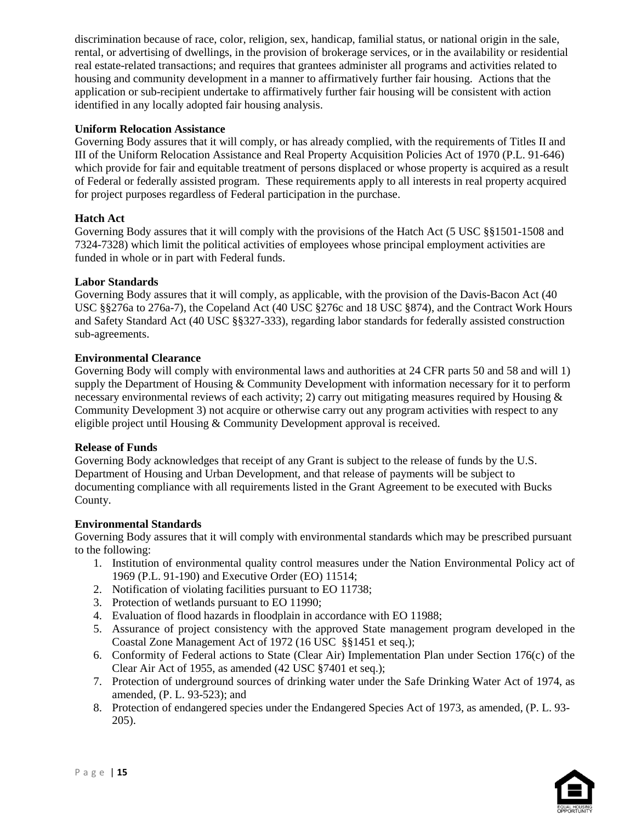discrimination because of race, color, religion, sex, handicap, familial status, or national origin in the sale, rental, or advertising of dwellings, in the provision of brokerage services, or in the availability or residential real estate-related transactions; and requires that grantees administer all programs and activities related to housing and community development in a manner to affirmatively further fair housing. Actions that the application or sub-recipient undertake to affirmatively further fair housing will be consistent with action identified in any locally adopted fair housing analysis.

#### **Uniform Relocation Assistance**

Governing Body assures that it will comply, or has already complied, with the requirements of Titles II and III of the Uniform Relocation Assistance and Real Property Acquisition Policies Act of 1970 (P.L. 91-646) which provide for fair and equitable treatment of persons displaced or whose property is acquired as a result of Federal or federally assisted program. These requirements apply to all interests in real property acquired for project purposes regardless of Federal participation in the purchase.

#### **Hatch Act**

Governing Body assures that it will comply with the provisions of the Hatch Act (5 USC §§1501-1508 and 7324-7328) which limit the political activities of employees whose principal employment activities are funded in whole or in part with Federal funds.

#### **Labor Standards**

Governing Body assures that it will comply, as applicable, with the provision of the Davis-Bacon Act (40 USC §§276a to 276a-7), the Copeland Act (40 USC §276c and 18 USC §874), and the Contract Work Hours and Safety Standard Act (40 USC §§327-333), regarding labor standards for federally assisted construction sub-agreements.

#### **Environmental Clearance**

Governing Body will comply with environmental laws and authorities at 24 CFR parts 50 and 58 and will 1) supply the Department of Housing & Community Development with information necessary for it to perform necessary environmental reviews of each activity; 2) carry out mitigating measures required by Housing  $\&$ Community Development 3) not acquire or otherwise carry out any program activities with respect to any eligible project until Housing & Community Development approval is received.

#### **Release of Funds**

Governing Body acknowledges that receipt of any Grant is subject to the release of funds by the U.S. Department of Housing and Urban Development, and that release of payments will be subject to documenting compliance with all requirements listed in the Grant Agreement to be executed with Bucks County.

#### **Environmental Standards**

Governing Body assures that it will comply with environmental standards which may be prescribed pursuant to the following:

- 1. Institution of environmental quality control measures under the Nation Environmental Policy act of 1969 (P.L. 91-190) and Executive Order (EO) 11514;
- 2. Notification of violating facilities pursuant to EO 11738;
- 3. Protection of wetlands pursuant to EO 11990;
- 4. Evaluation of flood hazards in floodplain in accordance with EO 11988;
- 5. Assurance of project consistency with the approved State management program developed in the Coastal Zone Management Act of 1972 (16 USC §§1451 et seq.);
- 6. Conformity of Federal actions to State (Clear Air) Implementation Plan under Section 176(c) of the Clear Air Act of 1955, as amended (42 USC §7401 et seq.);
- 7. Protection of underground sources of drinking water under the Safe Drinking Water Act of 1974, as amended, (P. L. 93-523); and
- 8. Protection of endangered species under the Endangered Species Act of 1973, as amended, (P. L. 93- 205).

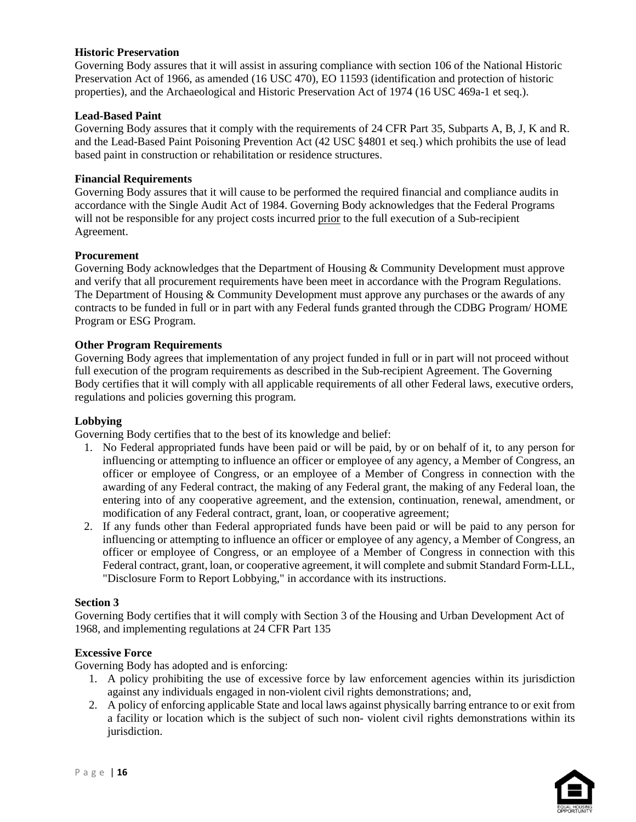#### **Historic Preservation**

Governing Body assures that it will assist in assuring compliance with section 106 of the National Historic Preservation Act of 1966, as amended (16 USC 470), EO 11593 (identification and protection of historic properties), and the Archaeological and Historic Preservation Act of 1974 (16 USC 469a-1 et seq.).

#### **Lead-Based Paint**

Governing Body assures that it comply with the requirements of 24 CFR Part 35, Subparts A, B, J, K and R. and the Lead-Based Paint Poisoning Prevention Act (42 USC §4801 et seq.) which prohibits the use of lead based paint in construction or rehabilitation or residence structures.

#### **Financial Requirements**

Governing Body assures that it will cause to be performed the required financial and compliance audits in accordance with the Single Audit Act of 1984. Governing Body acknowledges that the Federal Programs will not be responsible for any project costs incurred prior to the full execution of a Sub-recipient Agreement.

#### **Procurement**

Governing Body acknowledges that the Department of Housing & Community Development must approve and verify that all procurement requirements have been meet in accordance with the Program Regulations. The Department of Housing & Community Development must approve any purchases or the awards of any contracts to be funded in full or in part with any Federal funds granted through the CDBG Program/ HOME Program or ESG Program.

#### **Other Program Requirements**

Governing Body agrees that implementation of any project funded in full or in part will not proceed without full execution of the program requirements as described in the Sub-recipient Agreement. The Governing Body certifies that it will comply with all applicable requirements of all other Federal laws, executive orders, regulations and policies governing this program.

#### **Lobbying**

Governing Body certifies that to the best of its knowledge and belief:

- 1. No Federal appropriated funds have been paid or will be paid, by or on behalf of it, to any person for influencing or attempting to influence an officer or employee of any agency, a Member of Congress, an officer or employee of Congress, or an employee of a Member of Congress in connection with the awarding of any Federal contract, the making of any Federal grant, the making of any Federal loan, the entering into of any cooperative agreement, and the extension, continuation, renewal, amendment, or modification of any Federal contract, grant, loan, or cooperative agreement;
- 2. If any funds other than Federal appropriated funds have been paid or will be paid to any person for influencing or attempting to influence an officer or employee of any agency, a Member of Congress, an officer or employee of Congress, or an employee of a Member of Congress in connection with this Federal contract, grant, loan, or cooperative agreement, it will complete and submit Standard Form-LLL, "Disclosure Form to Report Lobbying," in accordance with its instructions.

#### **Section 3**

Governing Body certifies that it will comply with Section 3 of the Housing and Urban Development Act of 1968, and implementing regulations at 24 CFR Part 135

#### **Excessive Force**

Governing Body has adopted and is enforcing:

- 1. A policy prohibiting the use of excessive force by law enforcement agencies within its jurisdiction against any individuals engaged in non-violent civil rights demonstrations; and,
- 2. A policy of enforcing applicable State and local laws against physically barring entrance to or exit from a facility or location which is the subject of such non- violent civil rights demonstrations within its jurisdiction.

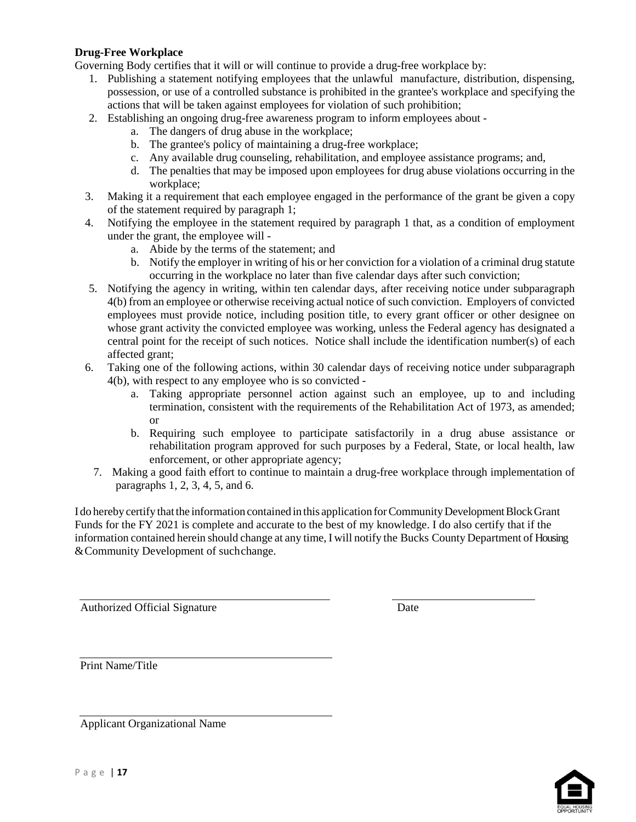#### **Drug-Free Workplace**

Governing Body certifies that it will or will continue to provide a drug-free workplace by:

- 1. Publishing a statement notifying employees that the unlawful manufacture, distribution, dispensing, possession, or use of a controlled substance is prohibited in the grantee's workplace and specifying the actions that will be taken against employees for violation of such prohibition;
- 2. Establishing an ongoing drug-free awareness program to inform employees about
	- a. The dangers of drug abuse in the workplace;
	- b. The grantee's policy of maintaining a drug-free workplace;
	- c. Any available drug counseling, rehabilitation, and employee assistance programs; and,
	- d. The penalties that may be imposed upon employees for drug abuse violations occurring in the workplace;
- 3. Making it a requirement that each employee engaged in the performance of the grant be given a copy of the statement required by paragraph 1;
- 4. Notifying the employee in the statement required by paragraph 1 that, as a condition of employment under the grant, the employee will
	- a. Abide by the terms of the statement; and
	- b. Notify the employer in writing of his or her conviction for a violation of a criminal drug statute occurring in the workplace no later than five calendar days after such conviction;
- 5. Notifying the agency in writing, within ten calendar days, after receiving notice under subparagraph 4(b) from an employee or otherwise receiving actual notice of such conviction. Employers of convicted employees must provide notice, including position title, to every grant officer or other designee on whose grant activity the convicted employee was working, unless the Federal agency has designated a central point for the receipt of such notices. Notice shall include the identification number(s) of each affected grant;
- 6. Taking one of the following actions, within 30 calendar days of receiving notice under subparagraph 4(b), with respect to any employee who is so convicted
	- a. Taking appropriate personnel action against such an employee, up to and including termination, consistent with the requirements of the Rehabilitation Act of 1973, as amended; or
	- b. Requiring such employee to participate satisfactorily in a drug abuse assistance or rehabilitation program approved for such purposes by a Federal, State, or local health, law enforcement, or other appropriate agency;
	- 7. Making a good faith effort to continue to maintain a drug-free workplace through implementation of paragraphs 1, 2, 3, 4, 5, and 6.

I do hereby certify that the information contained in this application for Community Development Block Grant Funds for the FY 2021 is complete and accurate to the best of my knowledge. I do also certify that if the information contained herein should change at any time, I will notify the Bucks County Department of Housing & Community Development of suchchange.

Authorized Official Signature Date

Print Name/Title

Applicant Organizational Name

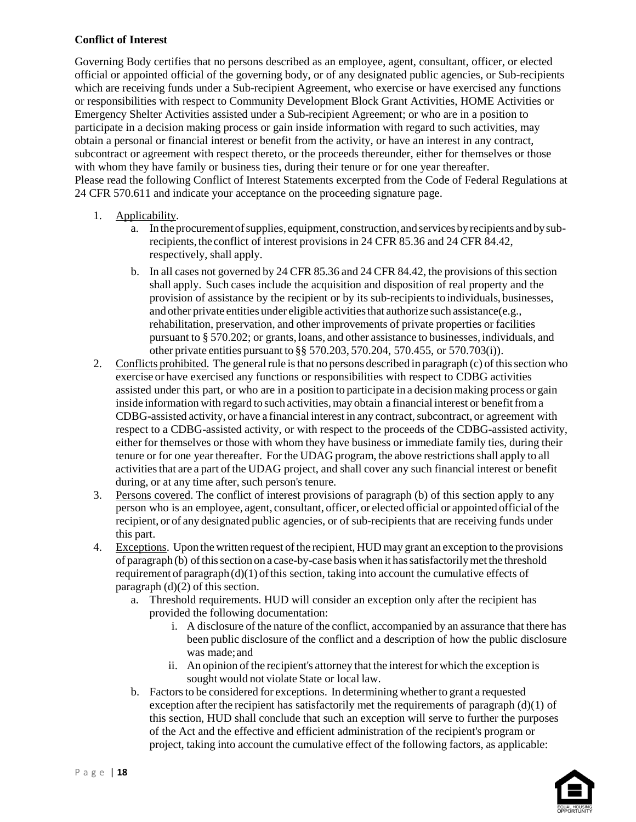## **Conflict of Interest**

Governing Body certifies that no persons described as an employee, agent, consultant, officer, or elected official or appointed official of the governing body, or of any designated public agencies, or Sub-recipients which are receiving funds under a Sub-recipient Agreement, who exercise or have exercised any functions or responsibilities with respect to Community Development Block Grant Activities, HOME Activities or Emergency Shelter Activities assisted under a Sub-recipient Agreement; or who are in a position to participate in a decision making process or gain inside information with regard to such activities, may obtain a personal or financial interest or benefit from the activity, or have an interest in any contract, subcontract or agreement with respect thereto, or the proceeds thereunder, either for themselves or those with whom they have family or business ties, during their tenure or for one year thereafter. Please read the following Conflict of Interest Statements excerpted from the Code of Federal Regulations at 24 CFR 570.611 and indicate your acceptance on the proceeding signature page.

- 1. Applicability.
	- a. In the procurement of supplies, equipment, construction, and services by recipients and by subrecipients, the conflict of interest provisions in 24 CFR 85.36 and 24 CFR 84.42, respectively, shall apply.
	- b. In all cases not governed by 24 CFR 85.36 and 24 CFR 84.42, the provisions of thissection shall apply. Such cases include the acquisition and disposition of real property and the provision of assistance by the recipient or by its sub-recipientsto individuals, businesses, and other private entities under eligible activities that authorize such assistance(e.g., rehabilitation, preservation, and other improvements of private properties or facilities pursuant to § 570.202; or grants, loans, and other assistance to businesses, individuals, and other private entities pursuant to §§ 570.203, 570.204, 570.455, or 570.703(i)).
- 2. Conflicts prohibited. The general rule is that no persons described in paragraph (c) of this section who exercise or have exercised any functions or responsibilities with respect to CDBG activities assisted under this part, or who are in a position to participate in a decisionmaking process or gain inside information with regard to such activities, may obtain a financial interest or benefit from a CDBG-assisted activity, or have a financial interest in any contract, subcontract, or agreement with respect to a CDBG-assisted activity, or with respect to the proceeds of the CDBG-assisted activity, either for themselves or those with whom they have business or immediate family ties, during their tenure or for one year thereafter. For the UDAG program, the above restrictionsshall apply to all activities that are a part of the UDAG project, and shall cover any such financial interest or benefit during, or at any time after, such person's tenure.
- 3. Persons covered. The conflict of interest provisions of paragraph (b) of this section apply to any person who is an employee, agent, consultant, officer, or elected official or appointed official of the recipient, or of any designated public agencies, or of sub-recipients that are receiving funds under this part.
- 4. Exceptions. Upon the written request ofthe recipient, HUD may grant an exception to the provisions of paragraph (b) ofthissection on a case-by-case basiswhen it hassatisfactorilymet the threshold requirement of paragraph  $(d)(1)$  of this section, taking into account the cumulative effects of paragraph  $(d)(2)$  of this section.
	- a. Threshold requirements. HUD will consider an exception only after the recipient has provided the following documentation:
		- i. A disclosure of the nature of the conflict, accompanied by an assurance that there has been public disclosure of the conflict and a description of how the public disclosure was made;and
		- ii. An opinion of the recipient's attorney that the interest for which the exception is sought would not violate State or local law.
	- b. Factorsto be considered for exceptions. In determining whether to grant a requested exception after the recipient has satisfactorily met the requirements of paragraph  $(d)(1)$  of this section, HUD shall conclude that such an exception will serve to further the purposes of the Act and the effective and efficient administration of the recipient's program or project, taking into account the cumulative effect of the following factors, as applicable: